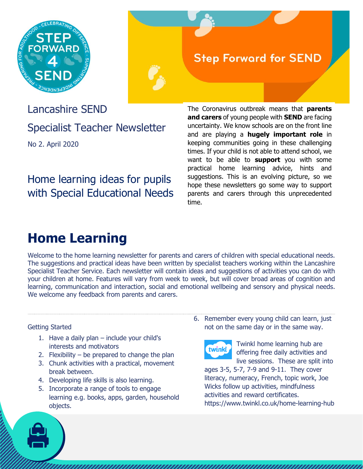

### **Step Forward for SEND**

Lancashire SEND Specialist Teacher Newsletter No 2. April 2020

### Home learning ideas for pupils with Special Educational Needs

The Coronavirus outbreak means that **parents and carers** of young people with **SEND** are facing uncertainty. We know schools are on the front line and are playing a **hugely important role** in keeping communities going in these challenging times. If your child is not able to attend school, we want to be able to **support** you with some practical home learning advice, hints and suggestions. This is an evolving picture, so we hope these newsletters go some way to support parents and carers through this unprecedented time.

## **Home Learning**

Welcome to the home learning newsletter for parents and carers of children with special educational needs. The suggestions and practical ideas have been written by specialist teachers working within the Lancashire Specialist Teacher Service. Each newsletter will contain ideas and suggestions of activities you can do with your children at home. Features will vary from week to week, but will cover broad areas of cognition and learning, communication and interaction, social and emotional wellbeing and sensory and physical needs. We welcome any feedback from parents and carers.

#### Getting Started

- 1. Have a daily plan include your child's interests and motivators
- 2. Flexibility  $-$  be prepared to change the plan
- 3. Chunk activities with a practical, movement break between.
- 4. Developing life skills is also learning.
- 5. Incorporate a range of tools to engage learning e.g. books, apps, garden, household objects.

6. Remember every young child can learn, just not on the same day or in the same way.



Twinkl home learning hub are offering free daily activities and live sessions. These are split into

ages 3-5, 5-7, 7-9 and 9-11. They cover literacy, numeracy, French, topic work, Joe Wicks follow up activities, mindfulness activities and reward certificates. https://www.twinkl.co.uk/home-learning-hub

,,,,,,,,,,,,,,,,,,,,,,,,,,,,,,,,,,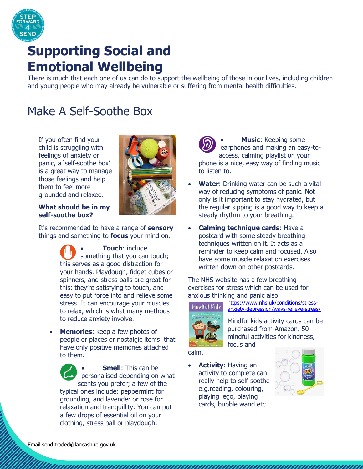

# **Supporting Social and Emotional Wellbeing**

There is much that each one of us can do to support the wellbeing of those in our lives, including children and young people who may already be vulnerable or suffering from mental health difficulties.

## Make A Self-Soothe Box

If you often find your child is struggling with feelings of anxiety or panic, a 'self-soothe box' is a great way to manage those feelings and help them to feel more grounded and relaxed.



**What should be in my self-soothe box?**

It's recommended to have a range of **sensory** things and something to **focus** your mind on.

- **Touch**: include something that you can touch; this serves as a good distraction for your hands. Playdough, fidget cubes or spinners, and stress balls are great for this; they're satisfying to touch, and easy to put force into and relieve some stress. It can encourage your muscles to relax, which is what many methods to reduce anxiety involve.
- **Memories**: keep a few photos of people or places or nostalgic items that have only positive memories attached to them.

 **Smell**: This can be personalised depending on what scents you prefer; a few of the typical ones include: peppermint for grounding, and lavender or rose for relaxation and tranquillity. You can put a few drops of essential oil on your clothing, stress ball or playdough.

 **Music**: Keeping some earphones and making an easy-toaccess, calming playlist on your phone is a nice, easy way of finding music to listen to.

- **Water**: Drinking water can be such a vital way of reducing symptoms of panic. Not only is it important to stay hydrated, but the regular sipping is a good way to keep a steady rhythm to your breathing.
- **Calming technique cards**: Have a postcard with some steady breathing techniques written on it. It acts as a reminder to keep calm and focused. Also have some muscle relaxation exercises written down on other postcards.

The NHS website has a few breathing exercises for stress which can be used for anxious thinking and panic also.



[https://www.nhs.uk/conditions/stress](https://www.nhs.uk/conditions/stress-anxiety-depression/ways-relieve-stress/)[anxiety-depression/ways-relieve-stress/](https://www.nhs.uk/conditions/stress-anxiety-depression/ways-relieve-stress/)

Mindful kids activity cards can be purchased from Amazon. 50 mindful activities for kindness, focus and

calm.

 **Activity**: Having an activity to complete can really help to self-soothe e.g.reading, colouring, playing lego, playing cards, bubble wand etc.

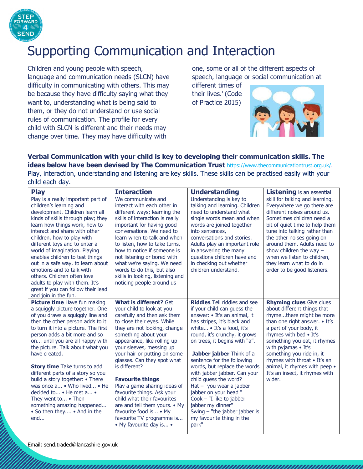

## Supporting Communication and Interaction

Children and young people with speech, language and communication needs (SLCN) have difficulty in communicating with others. This may be because they have difficulty saying what they want to, understanding what is being said to them, or they do not understand or use social rules of communication. The profile for every child with SLCN is different and their needs may change over time. They may have difficulty with

one, some or all of the different aspects of speech, language or social communication at

different times of their lives.' (Code of Practice 2015)



**Verbal Communication with your child is key to developing their communication skills. The ideas below have been devised by The Communication Trust** [https://www.thecommunicationtrust.org.uk/.](https://www.thecommunicationtrust.org.uk/) Play, interaction, understanding and listening are key skills. These skills can be practised easily with your child each day.

| <b>Play</b><br>Play is a really important part of<br>children's learning and<br>development. Children learn all<br>kinds of skills through play; they<br>learn how things work, how to<br>interact and share with other<br>children, how to play with<br>different toys and to enter a<br>world of imagination. Playing<br>enables children to test things<br>out in a safe way, to learn about<br>emotions and to talk with<br>others. Children often love<br>adults to play with them. It's<br>great if you can follow their lead<br>and join in the fun.                   | <b>Interaction</b><br>We communicate and<br>interact with each other in<br>different ways; learning the<br>skills of interaction is really<br>important for having good<br>conversations. We need to<br>learn when to talk and when<br>to listen, how to take turns,<br>how to notice if someone is<br>not listening or bored with<br>what we're saying. We need<br>words to do this, but also<br>skills in looking, listening and<br>noticing people around us                                                                                                       | <b>Understanding</b><br>Understanding is key to<br>talking and learning. Children<br>need to understand what<br>single words mean and when<br>words are joined together<br>into sentences,<br>conversations and stories.<br>Adults play an important role<br>in answering the many<br>questions children have and<br>in checking out whether<br>children understand.                                                                                                                                                                                                 | <b>Listening</b> is an essential<br>skill for talking and learning.<br>Everywhere we go there are<br>different noises around us.<br>Sometimes children need a<br>bit of quiet time to help them<br>tune into talking rather than<br>the other noises going on<br>around them. Adults need to<br>show children the way $-$<br>when we listen to children,<br>they learn what to do in<br>order to be good listeners. |
|-------------------------------------------------------------------------------------------------------------------------------------------------------------------------------------------------------------------------------------------------------------------------------------------------------------------------------------------------------------------------------------------------------------------------------------------------------------------------------------------------------------------------------------------------------------------------------|-----------------------------------------------------------------------------------------------------------------------------------------------------------------------------------------------------------------------------------------------------------------------------------------------------------------------------------------------------------------------------------------------------------------------------------------------------------------------------------------------------------------------------------------------------------------------|----------------------------------------------------------------------------------------------------------------------------------------------------------------------------------------------------------------------------------------------------------------------------------------------------------------------------------------------------------------------------------------------------------------------------------------------------------------------------------------------------------------------------------------------------------------------|---------------------------------------------------------------------------------------------------------------------------------------------------------------------------------------------------------------------------------------------------------------------------------------------------------------------------------------------------------------------------------------------------------------------|
| Picture time Have fun making<br>a squiggly picture together. One<br>of you draws a squiggly line and<br>then the other person adds to it<br>to turn it into a picture. The first<br>person adds a bit more and so<br>on until you are all happy with<br>the picture. Talk about what you<br>have created.<br><b>Story time</b> Take turns to add<br>different parts of a story so you<br>build a story together: • There<br>was once a • Who lived • He<br>decided to • He met a •<br>They went to • Then<br>something amazing happened<br>• So then they • And in the<br>end | <b>What is different? Get</b><br>your child to look at you<br>carefully and then ask them<br>to close their eyes. While<br>they are not looking, change<br>something about your<br>appearance, like rolling up<br>your sleeves, messing up<br>your hair or putting on some<br>glasses. Can they spot what<br>is different?<br><b>Favourite things</b><br>Play a game sharing ideas of<br>favourite things. Ask your<br>child what their favourites<br>are and tell them yours. • My<br>favourite food is • My<br>favourite TV programme is<br>• My favourite day is • | <b>Riddles</b> Tell riddles and see<br>if your child can guess the<br>answer: • It's an animal, it<br>has stripes, it's black and<br>white • It's a food, it's<br>round, it's crunchy, it grows<br>on trees, it begins with "a".<br>Jabber jabber Think of a<br>sentence for the following<br>words, but replace the words<br>with jabber jabber. Can your<br>child quess the word?<br>Hat -" you wear a jabber<br>jabber on your head "<br>$Cook - "I like to jabber$<br>jabber my dinner"<br>Swing $-$ "the jabber jabber is<br>my favourite thing in the<br>park" | <b>Rhyming clues</b> Give clues<br>about different things that<br>rhymethere might be more<br>than one right answer. • It's<br>a part of your body, it<br>rhymes with bed . It's<br>something you eat, it rhymes<br>with pyjamas • It's<br>something you ride in, it<br>rhymes with throat . It's an<br>animal, it rhymes with peep .<br>It's an insect, it rhymes with<br>wider.                                   |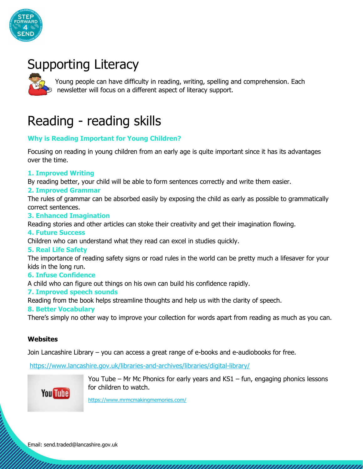

# Supporting Literacy



Young people can have difficulty in reading, writing, spelling and comprehension. Each newsletter will focus on a different aspect of literacy support.

# Reading - reading skills

#### **Why is Reading Important for Young Children?**

Focusing on reading in young children from an early age is quite important since it has its advantages over the time.

#### **1. Improved Writing**

By reading better, your child will be able to form sentences correctly and write them easier.

#### **2. Improved Grammar**

The rules of grammar can be absorbed easily by exposing the child as early as possible to grammatically correct sentences.

#### **3. Enhanced Imagination**

Reading stories and other articles can stoke their creativity and get their imagination flowing.

#### **4. Future Success**

Children who can understand what they read can excel in studies quickly.

#### **5. Real Life Safety**

The importance of reading safety signs or road rules in the world can be pretty much a lifesaver for your kids in the long run.

#### **6. Infuse Confidence**

A child who can figure out things on his own can build his confidence rapidly.

#### **7. Improved speech sounds**

Reading from the book helps streamline thoughts and help us with the clarity of speech.

#### **8. Better Vocabulary**

There's simply no other way to improve your collection for words apart from reading as much as you can.

#### **Websites**

Join Lancashire Library – you can access a great range of e-books and e-audiobooks for free.

<https://www.lancashire.gov.uk/libraries-and-archives/libraries/digital-library/>



You Tube – Mr Mc Phonics for early years and KS1 – fun, engaging phonics lessons for children to watch.

<https://www.mrmcmakingmemories.com/>

Email: send.traded@lancashire.gov.uk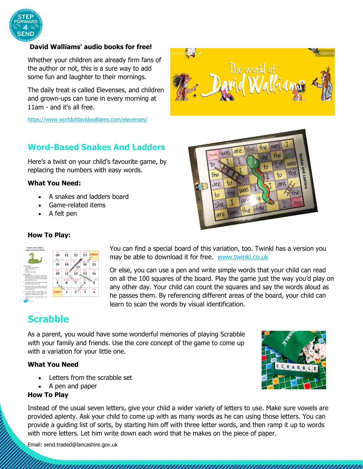

#### **David Walliams' audio books for free!**

Whether your children are already firm fans of the author or not, this is a sure way to add some fun and laughter to their mornings.

The daily treat is called Elevenses, and children and grown-ups can tune in every morning at 11am - and it's all free.

<https://www.worldofdavidwalliams.com/elevenses/>

### **Word-Based Snakes And Ladders**

Here's a twist on your child's favourite game, by replacing the numbers with easy words.

#### **What You Need:**

- A snakes and ladders board
- Game-related items
- A felt pen



The world of

#### **How To Play:**

|                                                                                                                                                                                                     | 20              | 21 | 22 | $-1$<br>23  | FINISH  |
|-----------------------------------------------------------------------------------------------------------------------------------------------------------------------------------------------------|-----------------|----|----|-------------|---------|
| The will loved<br>- The Coules and Ledder.<br><b>Bow Eldster Issued</b>                                                                                                                             | o.<br>ts.<br>19 | 18 |    | 16          | m<br>15 |
| $1 - 5 + 6 + 6$<br>· A movies per player<br>time to play.<br>1. Players take it is harm to red the day.<br>The princer with the highest existies goes<br>first, the parent with the second trailway | 10              |    |    | 13<br>http: | 14      |
| green resourced senatives see.<br>7. The proget states the counter the tachbat<br>of sense shown on the slee.                                                                                       |                 |    |    |             |         |
| 3. If a shape lands on a coulcit boad, the<br>player's market shake detect to the space.                                                                                                            |                 |    |    |             |         |
| a. If a player lamb on the batters of a<br>lobia: the shape's overter shorts up to<br>the sport of the top styles babby.<br>5. The first player to reach the cheats is the<br>sonner                | <b>START</b>    |    |    |             |         |

You can find a special board of this variation, too. Twinkl has a version you may be able to download it for free. [www.twinkl.co.uk](http://www.twinkl.co.uk/)

Or else, you can use a pen and write simple words that your child can read on all the 100 squares of the board. Play the game just the way you'd play on any other day. Your child can count the squares and say the words aloud as he passes them. By referencing different areas of the board, your child can learn to scan the words by visual identification.

### **Scrabble**

As a parent, you would have some wonderful memories of playing Scrabble with your family and friends. Use the core concept of the game to come up with a variation for your little one.

#### **What You Need**

- Letters from the scrabble set
- A pen and paper

#### **How To Play**

Instead of the usual seven letters, give your child a wider variety of letters to use. Make sure vowels are provided aplenty. Ask your child to come up with as many words as he can using those letters. You can provide a guiding list of sorts, by starting him off with three letter words, and then ramp it up to words with more letters. Let him write down each word that he makes on the piece of paper.



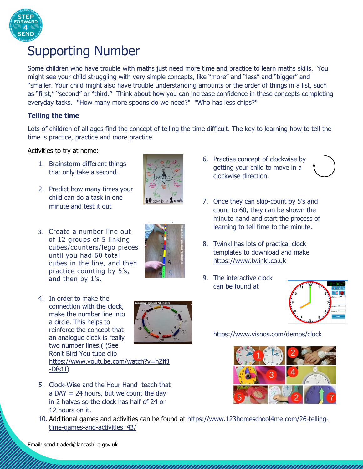

## Supporting Number

Some children who have trouble with maths just need more time and practice to learn maths skills. You might see your child struggling with very simple concepts, like "more" and "less" and "bigger" and "smaller. Your child might also have trouble understanding amounts or the order of things in a list, such as "first," "second" or "third." Think about how you can increase confidence in these concepts completing everyday tasks. "How many more spoons do we need?" "Who has less chips?"

#### **Telling the time**

Lots of children of all ages find the concept of telling the time difficult. The key to learning how to tell the time is practice, practice and more practice.

Activities to try at home:

- 1. Brainstorm different things that only take a second.
- 2. Predict how many times your child can do a task in one minute and test it out
- 3. Create a number line out of 12 groups of 5 linking cubes/counters/lego pieces until you had 60 total cubes in the line, and then practice counting by 5's, and then by 1's.
- 4. In order to make the connection with the clock, make the number line into a circle. This helps to reinforce the concept that an analogue clock is really two number lines.( (See Ronit Bird You tube clip



- [https://www.youtube.com/watch?v=hZffJ](https://www.youtube.com/watch?v=hZffJ-Dfs1I) [-Dfs1I\)](https://www.youtube.com/watch?v=hZffJ-Dfs1I)
- 5. Clock-Wise and the Hour Hand teach that a DAY = 24 hours, but we count the day in 2 halves so the clock has half of 24 or 12 hours on it.
- 10. Additional games and activities can be found at [https://www.123homeschool4me.com/26-telling](https://www.123homeschool4me.com/26-telling-time-games-and-activities_43/)[time-games-and-activities\\_43/](https://www.123homeschool4me.com/26-telling-time-games-and-activities_43/)

- 6. Practise concept of clockwise by getting your child to move in a clockwise direction.
- 7. Once they can skip-count by 5's and count to 60, they can be shown the minute hand and start the process of learning to tell time to the minute.
- 8. Twinkl has lots of practical clock templates to download and make [https://www.twinkl.co.uk](https://www.twinkl.co.uk/)
- 9. The interactive clock can be found at



https://www.visnos.com/demos/clock





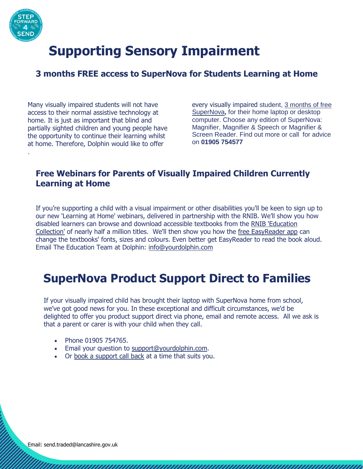

.

# **Supporting Sensory Impairment**

### **3 months FREE access to SuperNova for Students Learning at Home**

Many visually impaired students will not have access to their normal assistive technology at home. It is just as important that blind and partially sighted children and young people have the opportunity to continue their learning whilst at home. Therefore, Dolphin would like to offer

every visually impaired student, [3 months of free](https://yourdolphin.us16.list-manage.com/track/click?u=dae3cbeb2bd1095f2aa1a88f9&id=8a38235202&e=51ba6e6ffc)  [SuperNova](https://yourdolphin.us16.list-manage.com/track/click?u=dae3cbeb2bd1095f2aa1a88f9&id=8a38235202&e=51ba6e6ffc)**,** for their home laptop or desktop computer. Choose any edition of SuperNova: [Magnifier,](https://yourdolphin.us16.list-manage.com/track/click?u=dae3cbeb2bd1095f2aa1a88f9&id=272bfda729&e=51ba6e6ffc) [Magnifier & Speech](https://yourdolphin.us16.list-manage.com/track/click?u=dae3cbeb2bd1095f2aa1a88f9&id=3ba3db4943&e=51ba6e6ffc) or [Magnifier &](https://yourdolphin.us16.list-manage.com/track/click?u=dae3cbeb2bd1095f2aa1a88f9&id=6893920de8&e=51ba6e6ffc)  [Screen Reader.](https://yourdolphin.us16.list-manage.com/track/click?u=dae3cbeb2bd1095f2aa1a88f9&id=6893920de8&e=51ba6e6ffc) [Find out more](https://yourdolphin.us16.list-manage.com/track/click?u=dae3cbeb2bd1095f2aa1a88f9&id=65dcd502ec&e=51ba6e6ffc) or call for advice on **01905 754577**

### **Free Webinars for Parents of Visually Impaired Children Currently Learning at Home**

If you're supporting a child with a visual impairment or other disabilities you'll be keen to sign up to our new 'Learning at Home' webinars, delivered in partnership with the RNIB. We'll show you how disabled learners can browse and download accessible textbooks from the [RNIB 'Education](https://yourdolphin.us16.list-manage.com/track/click?u=dae3cbeb2bd1095f2aa1a88f9&id=453dcd6b22&e=51ba6e6ffc)  [Collection'](https://yourdolphin.us16.list-manage.com/track/click?u=dae3cbeb2bd1095f2aa1a88f9&id=453dcd6b22&e=51ba6e6ffc) of nearly half a million titles. We'll then show you how the [free EasyReader app](https://yourdolphin.us16.list-manage.com/track/click?u=dae3cbeb2bd1095f2aa1a88f9&id=0072785483&e=51ba6e6ffc) can change the textbooks' fonts, sizes and colours. Even better get EasyReader to read the book aloud. Email The Education Team at Dolphin: [info@yourdolphin.com](mailto:info@yourdolphin.com)

## **SuperNova Product Support Direct to Families**

If your visually impaired child has brought their laptop with SuperNova home from school, we've got good news for you. In these exceptional and difficult circumstances, we'd be delighted to offer you product support direct via phone, email and remote access. All we ask is that a parent or carer is with your child when they call.

- Phone 01905 754765.
- **Email your question to [support@yourdolphin.com.](mailto:support@yourdolphin.com)**
- Or [book a support call back](https://yourdolphin.us16.list-manage.com/track/click?u=dae3cbeb2bd1095f2aa1a88f9&id=0bb64b6113&e=51ba6e6ffc) at a time that suits you.